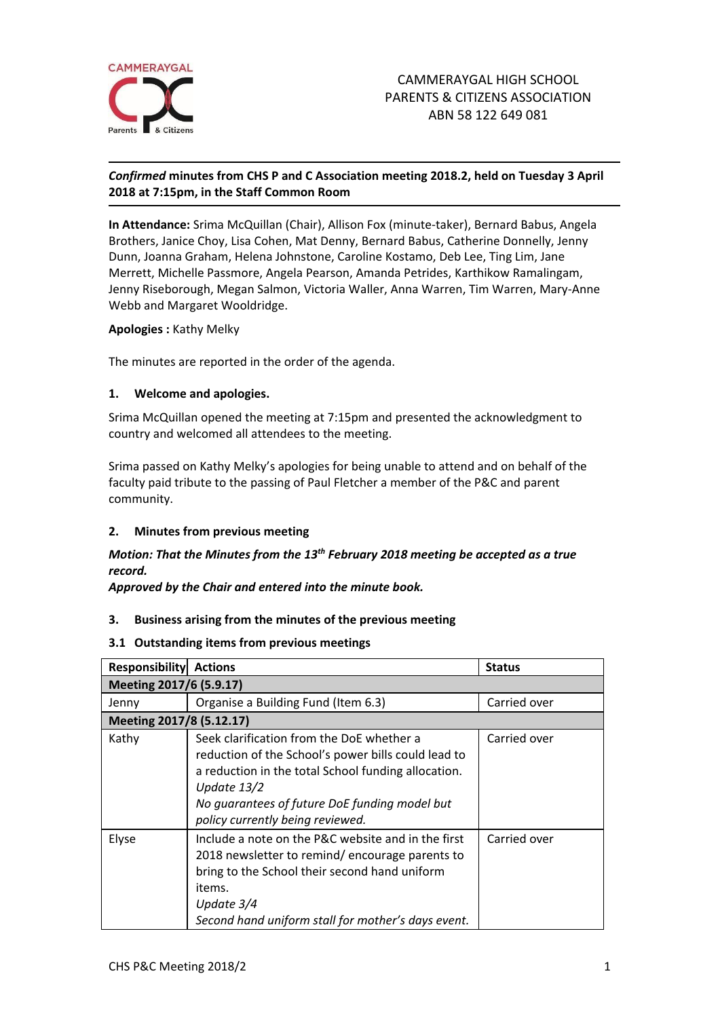

### *Confirmed* **minutes from CHS P and C Association meeting 2018.2, held on Tuesday 3 April 2018 at 7:15pm, in the Staff Common Room**

**In Attendance:** Srima McQuillan (Chair), Allison Fox (minute-taker), Bernard Babus, Angela Brothers, Janice Choy, Lisa Cohen, Mat Denny, Bernard Babus, Catherine Donnelly, Jenny Dunn, Joanna Graham, Helena Johnstone, Caroline Kostamo, Deb Lee, Ting Lim, Jane Merrett, Michelle Passmore, Angela Pearson, Amanda Petrides, Karthikow Ramalingam, Jenny Riseborough, Megan Salmon, Victoria Waller, Anna Warren, Tim Warren, Mary-Anne Webb and Margaret Wooldridge.

#### **Apologies :** Kathy Melky

The minutes are reported in the order of the agenda.

### **1. Welcome and apologies.**

Srima McQuillan opened the meeting at 7:15pm and presented the acknowledgment to country and welcomed all attendees to the meeting.

Srima passed on Kathy Melky's apologies for being unable to attend and on behalf of the faculty paid tribute to the passing of Paul Fletcher a member of the P&C and parent community.

#### **2. Minutes from previous meeting**

# *Motion: That the Minutes from the 13th February 2018 meeting be accepted as a true record.*

*Approved by the Chair and entered into the minute book.*

## **3. Business arising from the minutes of the previous meeting**

#### **3.1 Outstanding items from previous meetings**

| <b>Responsibility Actions</b> |                                                                                                                                                                                                                                                               | <b>Status</b> |  |
|-------------------------------|---------------------------------------------------------------------------------------------------------------------------------------------------------------------------------------------------------------------------------------------------------------|---------------|--|
| Meeting 2017/6 (5.9.17)       |                                                                                                                                                                                                                                                               |               |  |
| Jenny                         | Organise a Building Fund (Item 6.3)                                                                                                                                                                                                                           | Carried over  |  |
| Meeting 2017/8 (5.12.17)      |                                                                                                                                                                                                                                                               |               |  |
| Kathy                         | Seek clarification from the DoE whether a<br>reduction of the School's power bills could lead to<br>a reduction in the total School funding allocation.<br>Update $13/2$<br>No guarantees of future DoE funding model but<br>policy currently being reviewed. | Carried over  |  |
| Elyse                         | Include a note on the P&C website and in the first<br>2018 newsletter to remind/encourage parents to<br>bring to the School their second hand uniform<br>items.<br>Update 3/4<br>Second hand uniform stall for mother's days event.                           | Carried over  |  |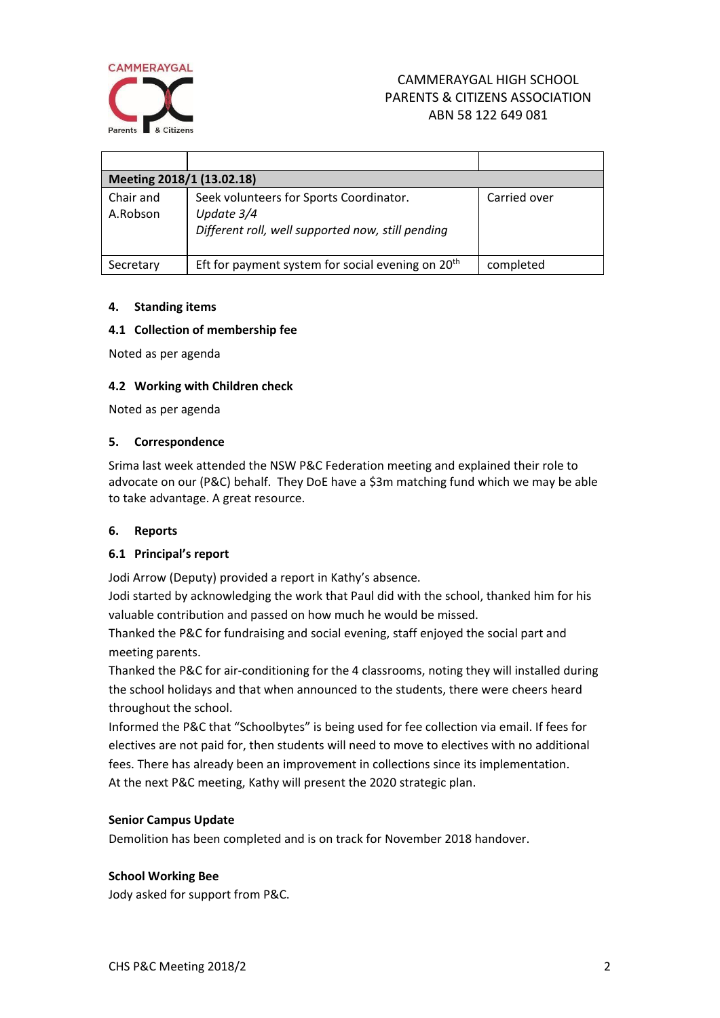

# CAMMERAYGAL HIGH SCHOOL PARENTS & CITIZENS ASSOCIATION ABN 58 122 649 081

| Meeting 2018/1 (13.02.18) |                                                                                                            |              |  |
|---------------------------|------------------------------------------------------------------------------------------------------------|--------------|--|
| Chair and<br>A.Robson     | Seek volunteers for Sports Coordinator.<br>Update 3/4<br>Different roll, well supported now, still pending | Carried over |  |
| Secretary                 | Eft for payment system for social evening on 20 <sup>th</sup>                                              | completed    |  |

### **4. Standing items**

### **4.1 Collection of membership fee**

Noted as per agenda

### **4.2 Working with Children check**

Noted as per agenda

#### **5. Correspondence**

Srima last week attended the NSW P&C Federation meeting and explained their role to advocate on our (P&C) behalf. They DoE have a \$3m matching fund which we may be able to take advantage. A great resource.

#### **6. Reports**

## **6.1 Principal's report**

Jodi Arrow (Deputy) provided a report in Kathy's absence.

Jodi started by acknowledging the work that Paul did with the school, thanked him for his valuable contribution and passed on how much he would be missed.

Thanked the P&C for fundraising and social evening, staff enjoyed the social part and meeting parents.

Thanked the P&C for air-conditioning for the 4 classrooms, noting they will installed during the school holidays and that when announced to the students, there were cheers heard throughout the school.

Informed the P&C that "Schoolbytes" is being used for fee collection via email. If fees for electives are not paid for, then students will need to move to electives with no additional fees. There has already been an improvement in collections since its implementation. At the next P&C meeting, Kathy will present the 2020 strategic plan.

#### **Senior Campus Update**

Demolition has been completed and is on track for November 2018 handover.

#### **School Working Bee**

Jody asked for support from P&C.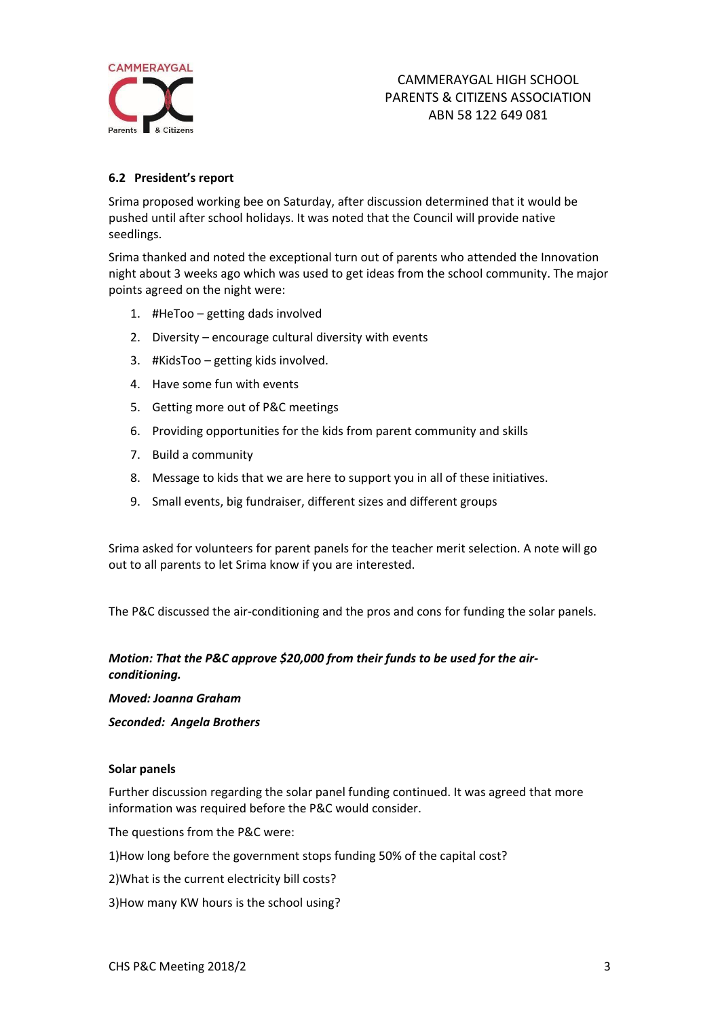

## **6.2 President's report**

Srima proposed working bee on Saturday, after discussion determined that it would be pushed until after school holidays. It was noted that the Council will provide native seedlings.

Srima thanked and noted the exceptional turn out of parents who attended the Innovation night about 3 weeks ago which was used to get ideas from the school community. The major points agreed on the night were:

- 1. #HeToo getting dads involved
- 2. Diversity encourage cultural diversity with events
- 3. #KidsToo getting kids involved.
- 4. Have some fun with events
- 5. Getting more out of P&C meetings
- 6. Providing opportunities for the kids from parent community and skills
- 7. Build a community
- 8. Message to kids that we are here to support you in all of these initiatives.
- 9. Small events, big fundraiser, different sizes and different groups

Srima asked for volunteers for parent panels for the teacher merit selection. A note will go out to all parents to let Srima know if you are interested.

The P&C discussed the air-conditioning and the pros and cons for funding the solar panels.

## *Motion: That the P&C approve \$20,000 from their funds to be used for the airconditioning.*

*Moved: Joanna Graham*

*Seconded: Angela Brothers*

#### **Solar panels**

Further discussion regarding the solar panel funding continued. It was agreed that more information was required before the P&C would consider.

The questions from the P&C were:

- 1)How long before the government stops funding 50% of the capital cost?
- 2)What is the current electricity bill costs?
- 3)How many KW hours is the school using?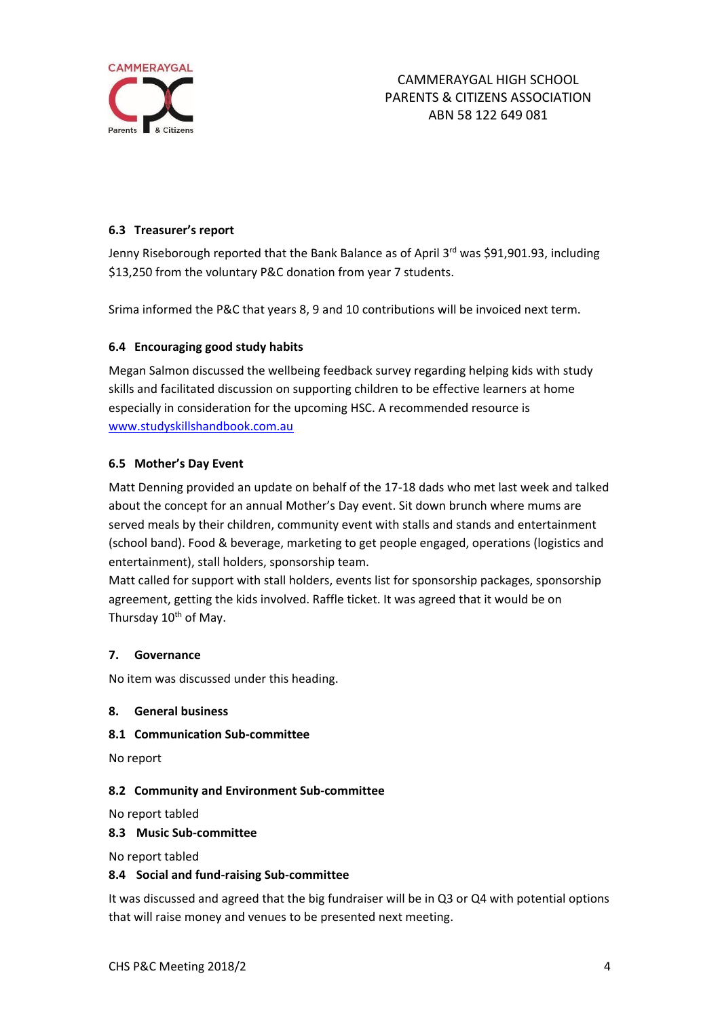

## **6.3 Treasurer's report**

Jenny Riseborough reported that the Bank Balance as of April 3rd was \$91,901.93, including \$13,250 from the voluntary P&C donation from year 7 students.

Srima informed the P&C that years 8, 9 and 10 contributions will be invoiced next term.

### **6.4 Encouraging good study habits**

Megan Salmon discussed the wellbeing feedback survey regarding helping kids with study skills and facilitated discussion on supporting children to be effective learners at home especially in consideration for the upcoming HSC. A recommended resource is [www.studyskillshandbook.com.au](http://www.studyskillshandbook.com.au/)

### **6.5 Mother's Day Event**

Matt Denning provided an update on behalf of the 17-18 dads who met last week and talked about the concept for an annual Mother's Day event. Sit down brunch where mums are served meals by their children, community event with stalls and stands and entertainment (school band). Food & beverage, marketing to get people engaged, operations (logistics and entertainment), stall holders, sponsorship team.

Matt called for support with stall holders, events list for sponsorship packages, sponsorship agreement, getting the kids involved. Raffle ticket. It was agreed that it would be on Thursday 10<sup>th</sup> of May.

#### **7. Governance**

No item was discussed under this heading.

### **8. General business**

**8.1 Communication Sub-committee**

No report

#### **8.2 Community and Environment Sub-committee**

No report tabled

#### **8.3 Music Sub-committee**

No report tabled

#### **8.4 Social and fund-raising Sub-committee**

It was discussed and agreed that the big fundraiser will be in Q3 or Q4 with potential options that will raise money and venues to be presented next meeting.